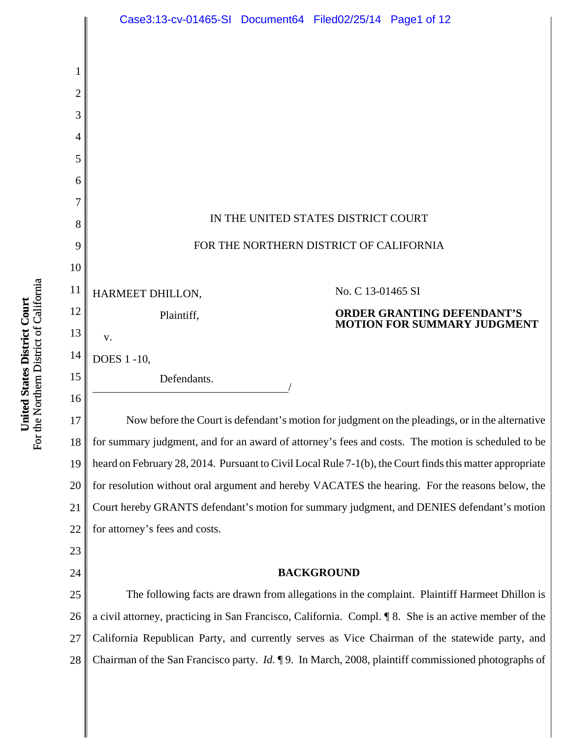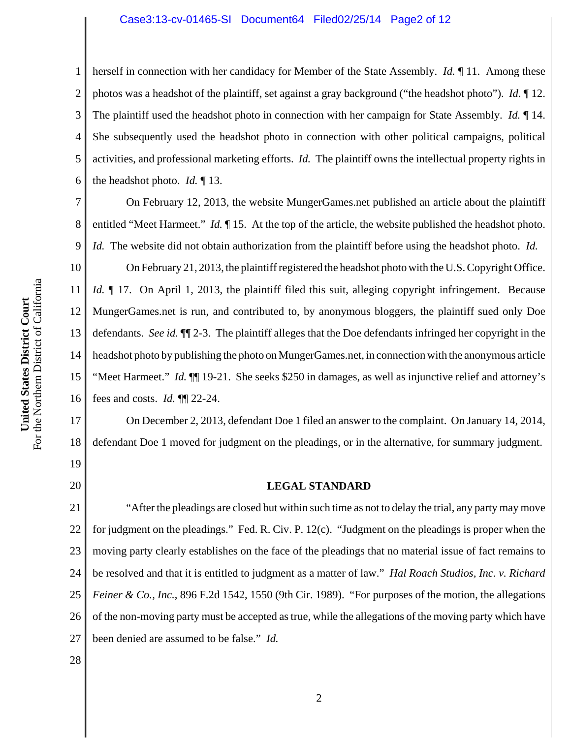#### Case3:13-cv-01465-SI Document64 Filed02/25/14 Page2 of 12

2 3 4 5 6 herself in connection with her candidacy for Member of the State Assembly. *Id.* ¶ 11. Among these photos was a headshot of the plaintiff, set against a gray background ("the headshot photo"). *Id.* ¶ 12. The plaintiff used the headshot photo in connection with her campaign for State Assembly. *Id.* ¶ 14. She subsequently used the headshot photo in connection with other political campaigns, political activities, and professional marketing efforts. *Id.* The plaintiff owns the intellectual property rights in the headshot photo. *Id.* ¶ 13.

7 8 9 On February 12, 2013, the website MungerGames.net published an article about the plaintiff entitled "Meet Harmeet." *Id.* ¶ 15. At the top of the article, the website published the headshot photo. *Id.* The website did not obtain authorization from the plaintiff before using the headshot photo. *Id.*

10 11 12 13 14 15 16 On February 21, 2013, the plaintiff registered the headshot photo with the U.S. Copyright Office. *Id.*  $\blacksquare$  17. On April 1, 2013, the plaintiff filed this suit, alleging copyright infringement. Because MungerGames.net is run, and contributed to, by anonymous bloggers, the plaintiff sued only Doe defendants. *See id.* ¶¶ 2-3. The plaintiff alleges that the Doe defendants infringed her copyright in the headshot photo by publishing the photo on MungerGames.net, in connection with the anonymous article "Meet Harmeet." *Id.* ¶¶ 19-21. She seeks \$250 in damages, as well as injunctive relief and attorney's fees and costs. *Id.* ¶¶ 22-24.

On December 2, 2013, defendant Doe 1 filed an answer to the complaint. On January 14, 2014, defendant Doe 1 moved for judgment on the pleadings, or in the alternative, for summary judgment.

19 20

28

17

18

1

#### **LEGAL STANDARD**

21 22 23 24 25 26 27 "After the pleadings are closed but within such time as not to delay the trial, any party may move for judgment on the pleadings." Fed. R. Civ. P. 12(c). "Judgment on the pleadings is proper when the moving party clearly establishes on the face of the pleadings that no material issue of fact remains to be resolved and that it is entitled to judgment as a matter of law." *Hal Roach Studios, Inc. v. Richard Feiner & Co., Inc.*, 896 F.2d 1542, 1550 (9th Cir. 1989). "For purposes of the motion, the allegations of the non-moving party must be accepted as true, while the allegations of the moving party which have been denied are assumed to be false." *Id.*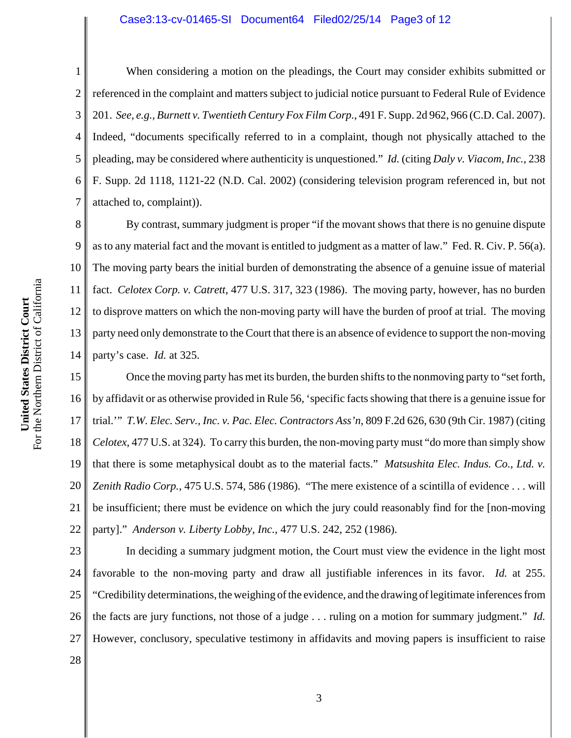#### Case3:13-cv-01465-SI Document64 Filed02/25/14 Page3 of 12

1 2 3 4 5 6 7 When considering a motion on the pleadings, the Court may consider exhibits submitted or referenced in the complaint and matters subject to judicial notice pursuant to Federal Rule of Evidence 201. *See, e.g.*, *Burnett v. Twentieth Century Fox Film Corp.*, 491 F. Supp. 2d 962, 966 (C.D. Cal. 2007). Indeed, "documents specifically referred to in a complaint, though not physically attached to the pleading, may be considered where authenticity is unquestioned." *Id.* (citing *Daly v. Viacom, Inc.*, 238 F. Supp. 2d 1118, 1121-22 (N.D. Cal. 2002) (considering television program referenced in, but not attached to, complaint)).

8 9 10 11 12 13 14 By contrast, summary judgment is proper "if the movant shows that there is no genuine dispute as to any material fact and the movant is entitled to judgment as a matter of law." Fed. R. Civ. P. 56(a). The moving party bears the initial burden of demonstrating the absence of a genuine issue of material fact. *Celotex Corp. v. Catrett*, 477 U.S. 317, 323 (1986). The moving party, however, has no burden to disprove matters on which the non-moving party will have the burden of proof at trial. The moving party need only demonstrate to the Court that there is an absence of evidence to support the non-moving party's case. *Id.* at 325.

15 16 17 18 19 20 21 22 Once the moving party has met its burden, the burden shifts to the nonmoving party to "set forth, by affidavit or as otherwise provided in Rule 56, 'specific facts showing that there is a genuine issue for trial.'" *T.W. Elec. Serv., Inc. v. Pac. Elec. Contractors Ass'n*, 809 F.2d 626, 630 (9th Cir. 1987) (citing *Celotex*, 477 U.S. at 324). To carry this burden, the non-moving party must "do more than simply show that there is some metaphysical doubt as to the material facts." *Matsushita Elec. Indus. Co., Ltd. v. Zenith Radio Corp.*, 475 U.S. 574, 586 (1986). "The mere existence of a scintilla of evidence . . . will be insufficient; there must be evidence on which the jury could reasonably find for the [non-moving party]." *Anderson v. Liberty Lobby, Inc.*, 477 U.S. 242, 252 (1986).

23 24 25 26 27 In deciding a summary judgment motion, the Court must view the evidence in the light most favorable to the non-moving party and draw all justifiable inferences in its favor. *Id.* at 255. "Credibility determinations, the weighing of the evidence, and the drawing of legitimate inferences from the facts are jury functions, not those of a judge . . . ruling on a motion for summary judgment." *Id.* However, conclusory, speculative testimony in affidavits and moving papers is insufficient to raise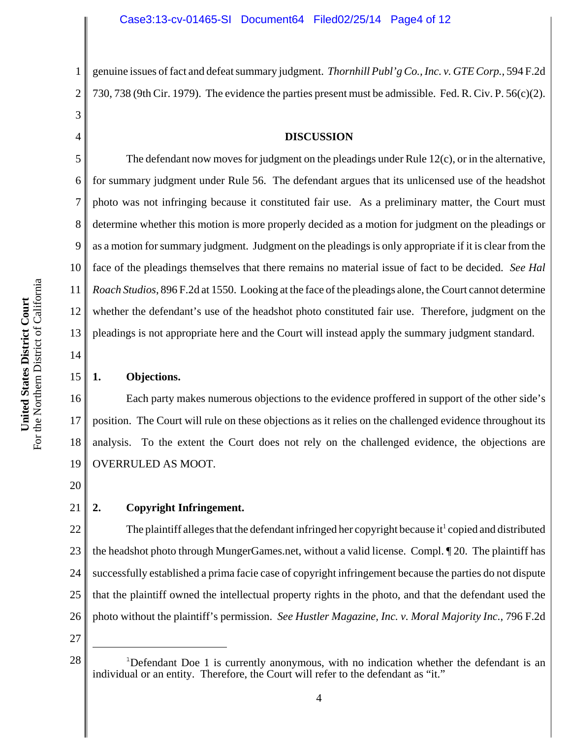genuine issues of fact and defeat summary judgment. *Thornhill Publ'g Co., Inc. v. GTE Corp.*, 594 F.2d 730, 738 (9th Cir. 1979). The evidence the parties present must be admissible. Fed. R. Civ. P. 56(c)(2).

#### **DISCUSSION**

6 9 10 12 The defendant now moves for judgment on the pleadings under Rule 12(c), or in the alternative, for summary judgment under Rule 56. The defendant argues that its unlicensed use of the headshot photo was not infringing because it constituted fair use. As a preliminary matter, the Court must determine whether this motion is more properly decided as a motion for judgment on the pleadings or as a motion for summary judgment. Judgment on the pleadings is only appropriate if it is clear from the face of the pleadings themselves that there remains no material issue of fact to be decided. *See Hal Roach Studios*, 896 F.2d at 1550. Looking at the face of the pleadings alone, the Court cannot determine whether the defendant's use of the headshot photo constituted fair use. Therefore, judgment on the pleadings is not appropriate here and the Court will instead apply the summary judgment standard.

# 14 15

13

11

1

2

3

4

5

7

8

### **1. Objections.**

16 17 18 19 Each party makes numerous objections to the evidence proffered in support of the other side's position. The Court will rule on these objections as it relies on the challenged evidence throughout its analysis. To the extent the Court does not rely on the challenged evidence, the objections are OVERRULED AS MOOT.

20

#### 21 **2. Copyright Infringement.**

22 23 24 25 26 The plaintiff alleges that the defendant infringed her copyright because it<sup>1</sup> copied and distributed the headshot photo through MungerGames.net, without a valid license. Compl. ¶ 20. The plaintiff has successfully established a prima facie case of copyright infringement because the parties do not dispute that the plaintiff owned the intellectual property rights in the photo, and that the defendant used the photo without the plaintiff's permission. *See Hustler Magazine, Inc. v. Moral Majority Inc.*, 796 F.2d

27

<sup>&</sup>lt;sup>1</sup>Defendant Doe 1 is currently anonymous, with no indication whether the defendant is an individual or an entity. Therefore, the Court will refer to the defendant as "it."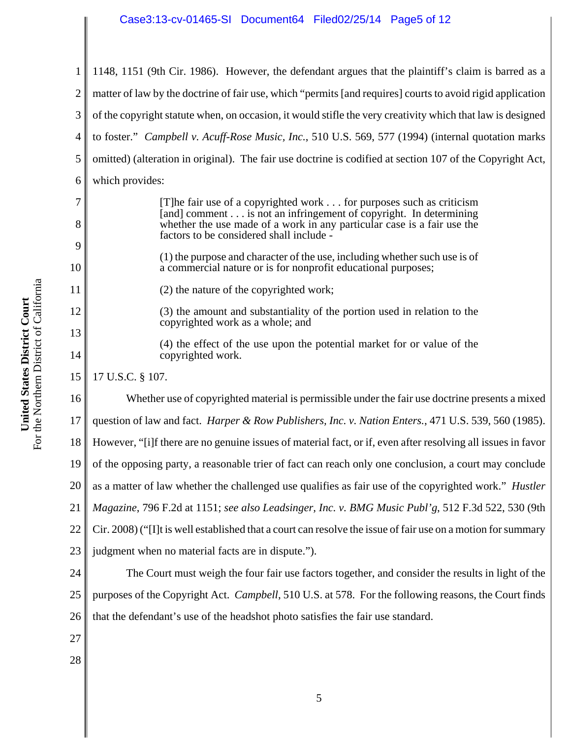8

9

10

11

12

13

14

1 2 3 4 5 6 7 1148, 1151 (9th Cir. 1986).However, the defendant argues that the plaintiff's claim is barred as a matter of law by the doctrine of fair use, which "permits [and requires] courts to avoid rigid application of the copyright statute when, on occasion, it would stifle the very creativity which that law is designed to foster." *Campbell v. Acuff-Rose Music, Inc.*, 510 U.S. 569, 577 (1994) (internal quotation marks omitted) (alteration in original).The fair use doctrine is codified at section 107 of the Copyright Act, which provides: [T]he fair use of a copyrighted work . . . for purposes such as criticism

[and] comment . . . is not an infringement of copyright. In determining whether the use made of a work in any particular case is a fair use the factors to be considered shall include -

(1) the purpose and character of the use, including whether such use is of a commercial nature or is for nonprofit educational purposes;

(2) the nature of the copyrighted work;

(3) the amount and substantiality of the portion used in relation to the copyrighted work as a whole; and

(4) the effect of the use upon the potential market for or value of the copyrighted work.

15 17 U.S.C. § 107.

16 17 18 19 20 21 22 23 24 Whether use of copyrighted material is permissible under the fair use doctrine presents a mixed question of law and fact. *Harper & Row Publishers, Inc. v. Nation Enters.*, 471 U.S. 539, 560 (1985). However, "[i]f there are no genuine issues of material fact, or if, even after resolving all issues in favor of the opposing party, a reasonable trier of fact can reach only one conclusion, a court may conclude as a matter of law whether the challenged use qualifies as fair use of the copyrighted work." *Hustler Magazine*, 796 F.2d at 1151; *see also Leadsinger, Inc. v. BMG Music Publ'g*, 512 F.3d 522, 530 (9th Cir. 2008) ("[I]t is well established that a court can resolve the issue of fair use on a motion for summary judgment when no material facts are in dispute."). The Court must weigh the four fair use factors together, and consider the results in light of the

25 26 purposes of the Copyright Act. *Campbell*, 510 U.S. at 578. For the following reasons, the Court finds that the defendant's use of the headshot photo satisfies the fair use standard.

- 27
- 28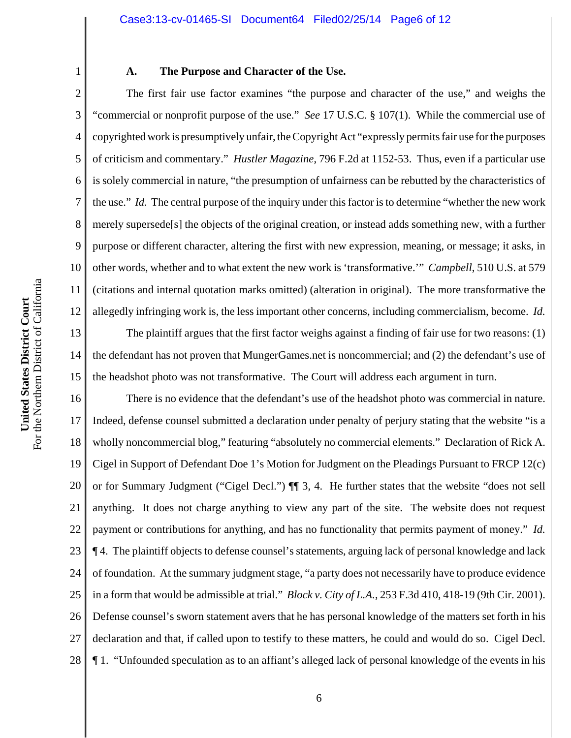#### Case3:13-cv-01465-SI Document64 Filed02/25/14 Page6 of 12

1

2

3

4

5

6

7

8

9

10

11

12

#### **A. The Purpose and Character of the Use.**

The first fair use factor examines "the purpose and character of the use," and weighs the "commercial or nonprofit purpose of the use." *See* 17 U.S.C. § 107(1). While the commercial use of copyrighted work is presumptively unfair, the Copyright Act "expressly permits fair use for the purposes of criticism and commentary." *Hustler Magazine*, 796 F.2d at 1152-53. Thus, even if a particular use is solely commercial in nature, "the presumption of unfairness can be rebutted by the characteristics of the use."*Id.* The central purpose of the inquiry under this factor is to determine "whether the new work merely supersede[s] the objects of the original creation, or instead adds something new, with a further purpose or different character, altering the first with new expression, meaning, or message; it asks, in other words, whether and to what extent the new work is 'transformative.'" *Campbell*, 510 U.S. at 579 (citations and internal quotation marks omitted) (alteration in original). The more transformative the allegedly infringing work is, the less important other concerns, including commercialism, become. *Id.*

13 14 15 The plaintiff argues that the first factor weighs against a finding of fair use for two reasons: (1) the defendant has not proven that MungerGames.net is noncommercial; and (2) the defendant's use of the headshot photo was not transformative. The Court will address each argument in turn.

16 17 18 19 20 21 22 23 24 25 26 27 28 There is no evidence that the defendant's use of the headshot photo was commercial in nature. Indeed, defense counsel submitted a declaration under penalty of perjury stating that the website "is a wholly noncommercial blog," featuring "absolutely no commercial elements." Declaration of Rick A. Cigel in Support of Defendant Doe 1's Motion for Judgment on the Pleadings Pursuant to FRCP 12(c) or for Summary Judgment ("Cigel Decl.") ¶¶ 3, 4. He further states that the website "does not sell anything. It does not charge anything to view any part of the site. The website does not request payment or contributions for anything, and has no functionality that permits payment of money." *Id.* ¶ 4. The plaintiff objects to defense counsel's statements, arguing lack of personal knowledge and lack of foundation. At the summary judgment stage, "a party does not necessarily have to produce evidence in a form that would be admissible at trial." *Block v. City of L.A.*, 253 F.3d 410, 418-19 (9th Cir. 2001). Defense counsel's sworn statement avers that he has personal knowledge of the matters set forth in his declaration and that, if called upon to testify to these matters, he could and would do so. Cigel Decl. ¶ 1. "Unfounded speculation as to an affiant's alleged lack of personal knowledge of the events in his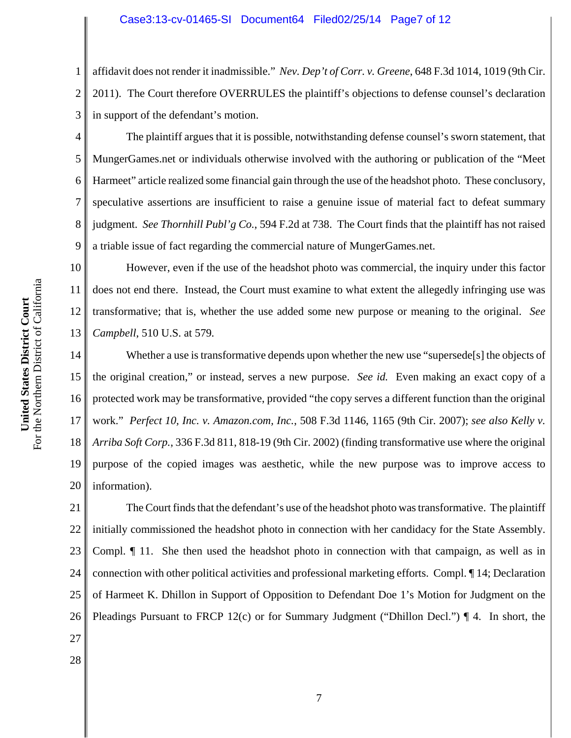1 2 3 affidavit does not render it inadmissible." *Nev. Dep't of Corr. v. Greene*, 648 F.3d 1014, 1019 (9th Cir. 2011). The Court therefore OVERRULES the plaintiff's objections to defense counsel's declaration in support of the defendant's motion.

The plaintiff argues that it is possible, notwithstanding defense counsel's sworn statement, that MungerGames.net or individuals otherwise involved with the authoring or publication of the "Meet Harmeet" article realized some financial gain through the use of the headshot photo. These conclusory, speculative assertions are insufficient to raise a genuine issue of material fact to defeat summary judgment. *See Thornhill Publ'g Co.*, 594 F.2d at 738. The Court finds that the plaintiff has not raised a triable issue of fact regarding the commercial nature of MungerGames.net.

10 11 12 13 However, even if the use of the headshot photo was commercial, the inquiry under this factor does not end there. Instead, the Court must examine to what extent the allegedly infringing use was transformative; that is, whether the use added some new purpose or meaning to the original. *See Campbell*, 510 U.S. at 579*.* 

14 15 16 17 18 19 20 Whether a use is transformative depends upon whether the new use "supersede<sup>[s]</sup> the objects of the original creation," or instead, serves a new purpose. *See id.* Even making an exact copy of a protected work may be transformative, provided "the copy serves a different function than the original work." *Perfect 10, Inc. v. Amazon.com, Inc.*, 508 F.3d 1146, 1165 (9th Cir. 2007); *see also Kelly v. Arriba Soft Corp.*, 336 F.3d 811, 818-19 (9th Cir. 2002) (finding transformative use where the original purpose of the copied images was aesthetic, while the new purpose was to improve access to information).

21 22 23 24 25 26 The Court finds that the defendant's use of the headshot photo was transformative. The plaintiff initially commissioned the headshot photo in connection with her candidacy for the State Assembly. Compl. ¶ 11. She then used the headshot photo in connection with that campaign, as well as in connection with other political activities and professional marketing efforts. Compl. ¶ 14; Declaration of Harmeet K. Dhillon in Support of Opposition to Defendant Doe 1's Motion for Judgment on the Pleadings Pursuant to FRCP 12(c) or for Summary Judgment ("Dhillon Decl.")  $\P$  4. In short, the

4

5

6

7

8

9

27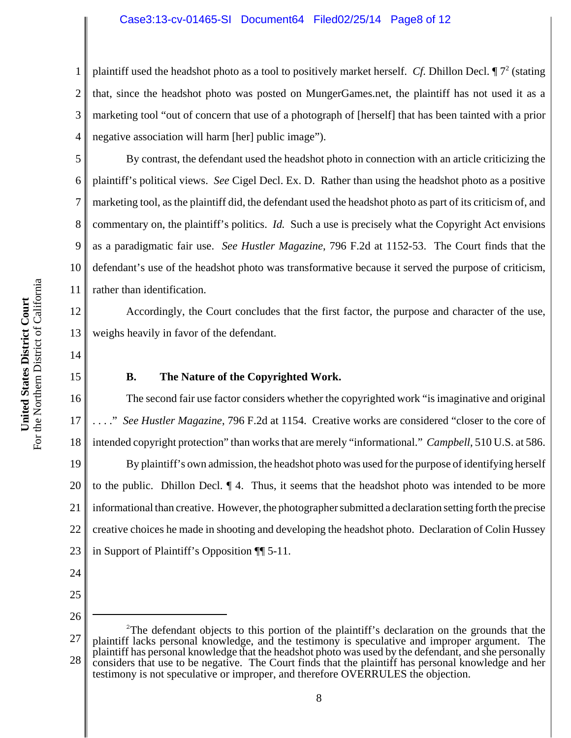#### Case3:13-cv-01465-SI Document64 Filed02/25/14 Page8 of 12

2 3 4 plaintiff used the headshot photo as a tool to positively market herself. *Cf*. Dhillon Decl.  $\P$ <sup>72</sup> (stating that, since the headshot photo was posted on MungerGames.net, the plaintiff has not used it as a marketing tool "out of concern that use of a photograph of [herself] that has been tainted with a prior negative association will harm [her] public image").

By contrast, the defendant used the headshot photo in connection with an article criticizing the plaintiff's political views. *See* Cigel Decl. Ex. D. Rather than using the headshot photo as a positive marketing tool, as the plaintiff did, the defendant used the headshot photo as part of its criticism of, and commentary on, the plaintiff's politics. *Id.* Such a use is precisely what the Copyright Act envisions as a paradigmatic fair use. *See Hustler Magazine*, 796 F.2d at 1152-53.The Court finds that the defendant's use of the headshot photo was transformative because it served the purpose of criticism, rather than identification.

Accordingly, the Court concludes that the first factor, the purpose and character of the use, weighs heavily in favor of the defendant.

14

15

1

5

6

7

8

9

10

11

12

13

## **B. The Nature of the Copyrighted Work.**

16 17 18 19 20 21 22 23 The second fair use factor considers whether the copyrighted work "is imaginative and original . . . ." *See Hustler Magazine*, 796 F.2d at 1154. Creative works are considered "closer to the core of intended copyright protection" than works that are merely "informational." *Campbell*, 510 U.S. at 586. By plaintiff's own admission, the headshot photo was used for the purpose of identifying herself to the public. Dhillon Decl. ¶ 4. Thus, it seems that the headshot photo was intended to be more informational than creative. However, the photographer submitted a declaration setting forth the precise creative choices he made in shooting and developing the headshot photo. Declaration of Colin Hussey in Support of Plaintiff's Opposition ¶¶ 5-11.

- 24
- 25

<sup>27</sup> 28 <sup>2</sup>The defendant objects to this portion of the plaintiff's declaration on the grounds that the plaintiff lacks personal knowledge, and the testimony is speculative and improper argument. The plaintiff has personal knowledge that the headshot photo was used by the defendant, and she personally considers that use to be negative. The Court finds that the plaintiff has personal knowledge and her testimony is not speculative or improper, and therefore OVERRULES the objection.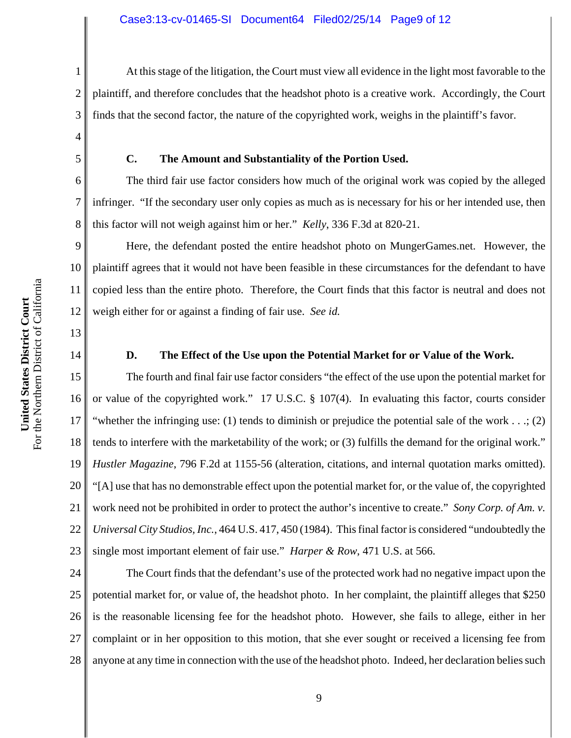At this stage of the litigation, the Court must view all evidence in the light most favorable to the plaintiff, and therefore concludes that the headshot photo is a creative work. Accordingly, the Court finds that the second factor, the nature of the copyrighted work, weighs in the plaintiff's favor.

**C. The Amount and Substantiality of the Portion Used.**

The third fair use factor considers how much of the original work was copied by the alleged infringer. "If the secondary user only copies as much as is necessary for his or her intended use, then this factor will not weigh against him or her." *Kelly*, 336 F.3d at 820-21.

9 10 11 12 Here, the defendant posted the entire headshot photo on MungerGames.net. However, the plaintiff agrees that it would not have been feasible in these circumstances for the defendant to have copied less than the entire photo. Therefore, the Court finds that this factor is neutral and does not weigh either for or against a finding of fair use. *See id.*

14

13

1

2

3

4

5

6

7

8

### **D. The Effect of the Use upon the Potential Market for or Value of the Work.**

15 16 17 18 19 20 21 22 23 The fourth and final fair use factor considers "the effect of the use upon the potential market for or value of the copyrighted work." 17 U.S.C. § 107(4). In evaluating this factor, courts consider "whether the infringing use: (1) tends to diminish or prejudice the potential sale of the work . . .; (2) tends to interfere with the marketability of the work; or (3) fulfills the demand for the original work." *Hustler Magazine*, 796 F.2d at 1155-56 (alteration, citations, and internal quotation marks omitted). "[A] use that has no demonstrable effect upon the potential market for, or the value of, the copyrighted work need not be prohibited in order to protect the author's incentive to create." *Sony Corp. of Am. v. Universal City Studios, Inc.*, 464 U.S. 417, 450 (1984). This final factor is considered "undoubtedly the single most important element of fair use." *Harper & Row*, 471 U.S. at 566.

24 25 26 27 28 The Court finds that the defendant's use of the protected work had no negative impact upon the potential market for, or value of, the headshot photo.In her complaint, the plaintiff alleges that \$250 is the reasonable licensing fee for the headshot photo. However, she fails to allege, either in her complaint or in her opposition to this motion, that she ever sought or received a licensing fee from anyone at any time in connection with the use of the headshot photo. Indeed, her declaration belies such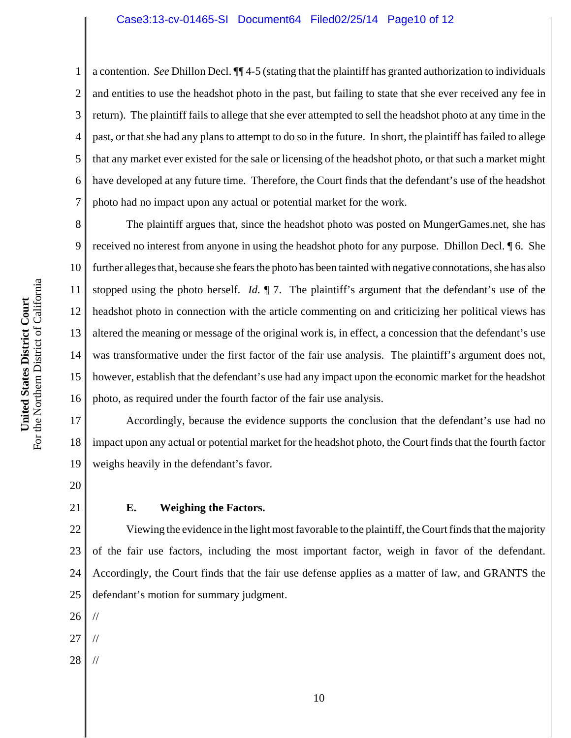4 6 a contention. *See* Dhillon Decl. ¶¶ 4-5 (stating that the plaintiff has granted authorization to individuals and entities to use the headshot photo in the past, but failing to state that she ever received any fee in return). The plaintiff fails to allege that she ever attempted to sell the headshot photo at any time in the past, or that she had any plans to attempt to do so in the future. In short, the plaintiff has failed to allege that any market ever existed for the sale or licensing of the headshot photo, or that such a market might have developed at any future time. Therefore, the Court finds that the defendant's use of the headshot photo had no impact upon any actual or potential market for the work.

8 9 10 11 12 13 14 15 16 The plaintiff argues that, since the headshot photo was posted on MungerGames.net, she has received no interest from anyone in using the headshot photo for any purpose. Dhillon Decl. ¶ 6. She further alleges that, because she fears the photo has been tainted with negative connotations, she has also stopped using the photo herself. *Id.* ¶ 7. The plaintiff's argument that the defendant's use of the headshot photo in connection with the article commenting on and criticizing her political views has altered the meaning or message of the original work is, in effect, a concession that the defendant's use was transformative under the first factor of the fair use analysis. The plaintiff's argument does not, however, establish that the defendant's use had any impact upon the economic market for the headshot photo, as required under the fourth factor of the fair use analysis.

17 18 19 Accordingly, because the evidence supports the conclusion that the defendant's use had no impact upon any actual or potential market for the headshot photo, the Court finds that the fourth factor weighs heavily in the defendant's favor.

20

1

2

3

5

7

21

# **E. Weighing the Factors.**

22 23 24 25 Viewing the evidence in the light most favorable to the plaintiff, the Court finds that the majority of the fair use factors, including the most important factor, weigh in favor of the defendant. Accordingly, the Court finds that the fair use defense applies as a matter of law, and GRANTS the defendant's motion for summary judgment.

26 //

- 27 //
- 28 //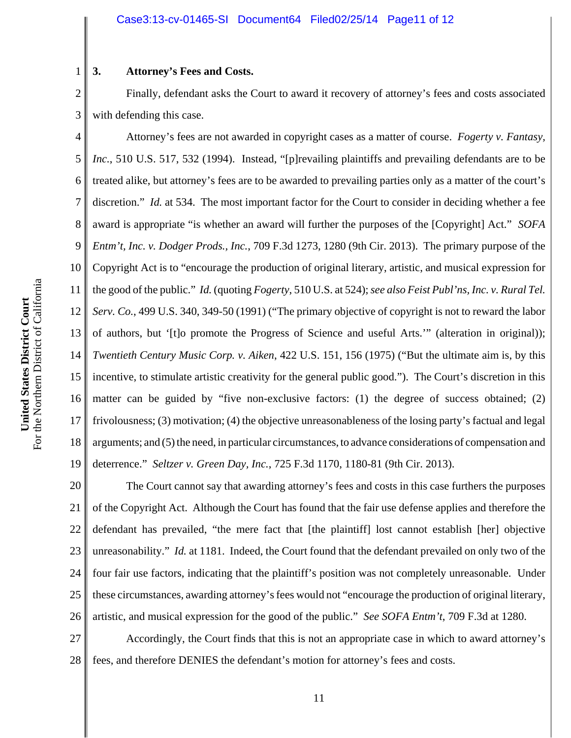# **3. Attorney's Fees and Costs.**

1

2 3 Finally, defendant asks the Court to award it recovery of attorney's fees and costs associated with defending this case.

4 5 6 7 8 9 10 11 12 13 14 15 16 17 18 19 Attorney's fees are not awarded in copyright cases as a matter of course. *Fogerty v. Fantasy, Inc.*, 510 U.S. 517, 532 (1994). Instead, "[p]revailing plaintiffs and prevailing defendants are to be treated alike, but attorney's fees are to be awarded to prevailing parties only as a matter of the court's discretion." *Id.* at 534. The most important factor for the Court to consider in deciding whether a fee award is appropriate "is whether an award will further the purposes of the [Copyright] Act." *SOFA Entm't, Inc. v. Dodger Prods., Inc.*, 709 F.3d 1273, 1280 (9th Cir. 2013). The primary purpose of the Copyright Act is to "encourage the production of original literary, artistic, and musical expression for the good of the public." *Id.* (quoting *Fogerty*, 510 U.S. at 524); *see also Feist Publ'ns, Inc. v. Rural Tel. Serv. Co.*, 499 U.S. 340, 349-50 (1991) ("The primary objective of copyright is not to reward the labor of authors, but '[t]o promote the Progress of Science and useful Arts.'" (alteration in original)); *Twentieth Century Music Corp. v. Aiken*, 422 U.S. 151, 156 (1975) ("But the ultimate aim is, by this incentive, to stimulate artistic creativity for the general public good."). The Court's discretion in this matter can be guided by "five non-exclusive factors: (1) the degree of success obtained; (2) frivolousness; (3) motivation; (4) the objective unreasonableness of the losing party's factual and legal arguments; and (5) the need, in particular circumstances, to advance considerations of compensation and deterrence." *Seltzer v. Green Day, Inc.*, 725 F.3d 1170, 1180-81 (9th Cir. 2013).

20 21 22 23 24 25 26 The Court cannot say that awarding attorney's fees and costs in this case furthers the purposes of the Copyright Act. Although the Court has found that the fair use defense applies and therefore the defendant has prevailed, "the mere fact that [the plaintiff] lost cannot establish [her] objective unreasonability." *Id.* at 1181. Indeed, the Court found that the defendant prevailed on only two of the four fair use factors, indicating that the plaintiff's position was not completely unreasonable. Under these circumstances, awarding attorney's fees would not "encourage the production of original literary, artistic, and musical expression for the good of the public."*See SOFA Entm't*, 709 F.3d at 1280.

27 28 Accordingly, the Court finds that this is not an appropriate case in which to award attorney's fees, and therefore DENIES the defendant's motion for attorney's fees and costs.